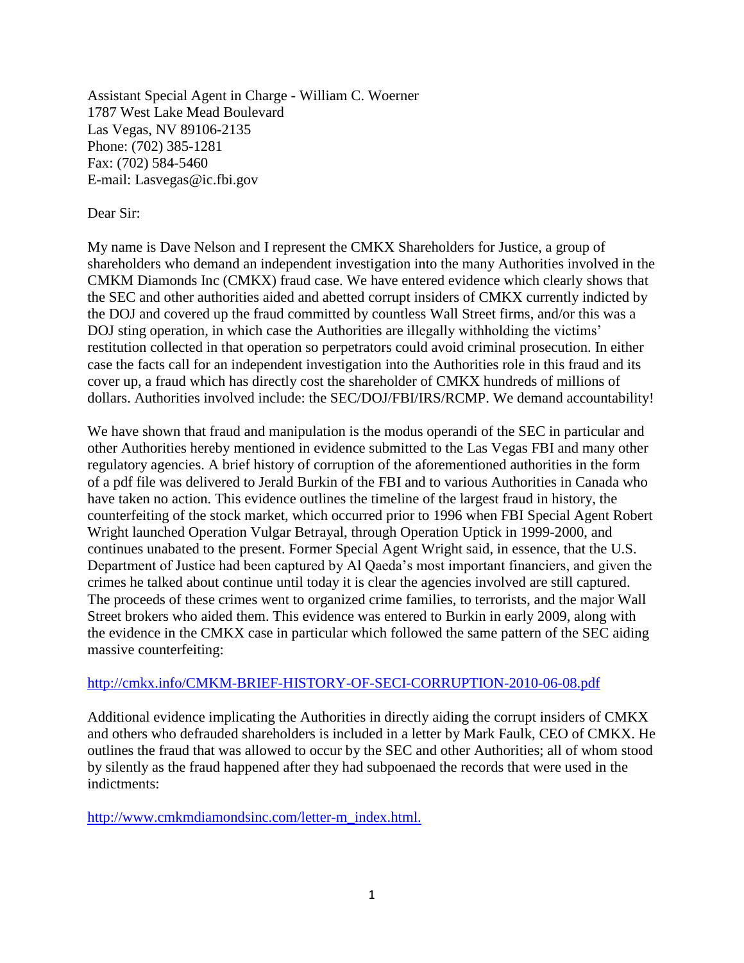Assistant Special Agent in Charge - William C. Woerner 1787 West Lake Mead Boulevard Las Vegas, NV 89106-2135 Phone: (702) 385-1281 Fax: (702) 584-5460 E-mail: Lasvegas@ic.fbi.gov

## Dear Sir:

My name is Dave Nelson and I represent the CMKX Shareholders for Justice, a group of shareholders who demand an independent investigation into the many Authorities involved in the CMKM Diamonds Inc (CMKX) fraud case. We have entered evidence which clearly shows that the SEC and other authorities aided and abetted corrupt insiders of CMKX currently indicted by the DOJ and covered up the fraud committed by countless Wall Street firms, and/or this was a DOJ sting operation, in which case the Authorities are illegally withholding the victims' restitution collected in that operation so perpetrators could avoid criminal prosecution. In either case the facts call for an independent investigation into the Authorities role in this fraud and its cover up, a fraud which has directly cost the shareholder of CMKX hundreds of millions of dollars. Authorities involved include: the SEC/DOJ/FBI/IRS/RCMP. We demand accountability!

We have shown that fraud and manipulation is the modus operandi of the SEC in particular and other Authorities hereby mentioned in evidence submitted to the Las Vegas FBI and many other regulatory agencies. A brief history of corruption of the aforementioned authorities in the form of a pdf file was delivered to Jerald Burkin of the FBI and to various Authorities in Canada who have taken no action. This evidence outlines the timeline of the largest fraud in history, the counterfeiting of the stock market, which occurred prior to 1996 when FBI Special Agent Robert Wright launched Operation Vulgar Betrayal, through Operation Uptick in 1999-2000, and continues unabated to the present. Former Special Agent Wright said, in essence, that the U.S. Department of Justice had been captured by Al Qaeda's most important financiers, and given the crimes he talked about continue until today it is clear the agencies involved are still captured. The proceeds of these crimes went to organized crime families, to terrorists, and the major Wall Street brokers who aided them. This evidence was entered to Burkin in early 2009, along with the evidence in the CMKX case in particular which followed the same pattern of the SEC aiding massive counterfeiting:

## <http://cmkx.info/CMKM-BRIEF-HISTORY-OF-SECI-CORRUPTION-2010-06-08.pdf>

Additional evidence implicating the Authorities in directly aiding the corrupt insiders of CMKX and others who defrauded shareholders is included in a letter by Mark Faulk, CEO of CMKX. He outlines the fraud that was allowed to occur by the SEC and other Authorities; all of whom stood by silently as the fraud happened after they had subpoenaed the records that were used in the indictments:

[http://www.cmkmdiamondsinc.com/letter-m\\_index.html.](http://www.cmkmdiamondsinc.com/letter-m_index.html.)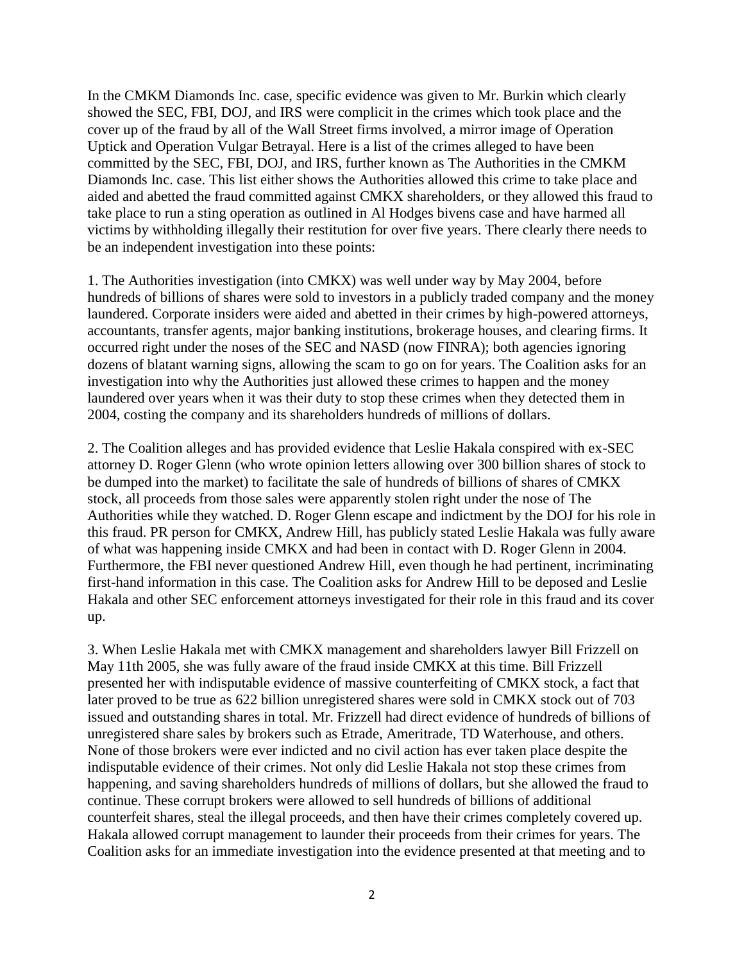In the CMKM Diamonds Inc. case, specific evidence was given to Mr. Burkin which clearly showed the SEC, FBI, DOJ, and IRS were complicit in the crimes which took place and the cover up of the fraud by all of the Wall Street firms involved, a mirror image of Operation Uptick and Operation Vulgar Betrayal. Here is a list of the crimes alleged to have been committed by the SEC, FBI, DOJ, and IRS, further known as The Authorities in the CMKM Diamonds Inc. case. This list either shows the Authorities allowed this crime to take place and aided and abetted the fraud committed against CMKX shareholders, or they allowed this fraud to take place to run a sting operation as outlined in Al Hodges bivens case and have harmed all victims by withholding illegally their restitution for over five years. There clearly there needs to be an independent investigation into these points:

1. The Authorities investigation (into CMKX) was well under way by May 2004, before hundreds of billions of shares were sold to investors in a publicly traded company and the money laundered. Corporate insiders were aided and abetted in their crimes by high-powered attorneys, accountants, transfer agents, major banking institutions, brokerage houses, and clearing firms. It occurred right under the noses of the SEC and NASD (now FINRA); both agencies ignoring dozens of blatant warning signs, allowing the scam to go on for years. The Coalition asks for an investigation into why the Authorities just allowed these crimes to happen and the money laundered over years when it was their duty to stop these crimes when they detected them in 2004, costing the company and its shareholders hundreds of millions of dollars.

2. The Coalition alleges and has provided evidence that Leslie Hakala conspired with ex-SEC attorney D. Roger Glenn (who wrote opinion letters allowing over 300 billion shares of stock to be dumped into the market) to facilitate the sale of hundreds of billions of shares of CMKX stock, all proceeds from those sales were apparently stolen right under the nose of The Authorities while they watched. D. Roger Glenn escape and indictment by the DOJ for his role in this fraud. PR person for CMKX, Andrew Hill, has publicly stated Leslie Hakala was fully aware of what was happening inside CMKX and had been in contact with D. Roger Glenn in 2004. Furthermore, the FBI never questioned Andrew Hill, even though he had pertinent, incriminating first-hand information in this case. The Coalition asks for Andrew Hill to be deposed and Leslie Hakala and other SEC enforcement attorneys investigated for their role in this fraud and its cover up.

3. When Leslie Hakala met with CMKX management and shareholders lawyer Bill Frizzell on May 11th 2005, she was fully aware of the fraud inside CMKX at this time. Bill Frizzell presented her with indisputable evidence of massive counterfeiting of CMKX stock, a fact that later proved to be true as 622 billion unregistered shares were sold in CMKX stock out of 703 issued and outstanding shares in total. Mr. Frizzell had direct evidence of hundreds of billions of unregistered share sales by brokers such as Etrade, Ameritrade, TD Waterhouse, and others. None of those brokers were ever indicted and no civil action has ever taken place despite the indisputable evidence of their crimes. Not only did Leslie Hakala not stop these crimes from happening, and saving shareholders hundreds of millions of dollars, but she allowed the fraud to continue. These corrupt brokers were allowed to sell hundreds of billions of additional counterfeit shares, steal the illegal proceeds, and then have their crimes completely covered up. Hakala allowed corrupt management to launder their proceeds from their crimes for years. The Coalition asks for an immediate investigation into the evidence presented at that meeting and to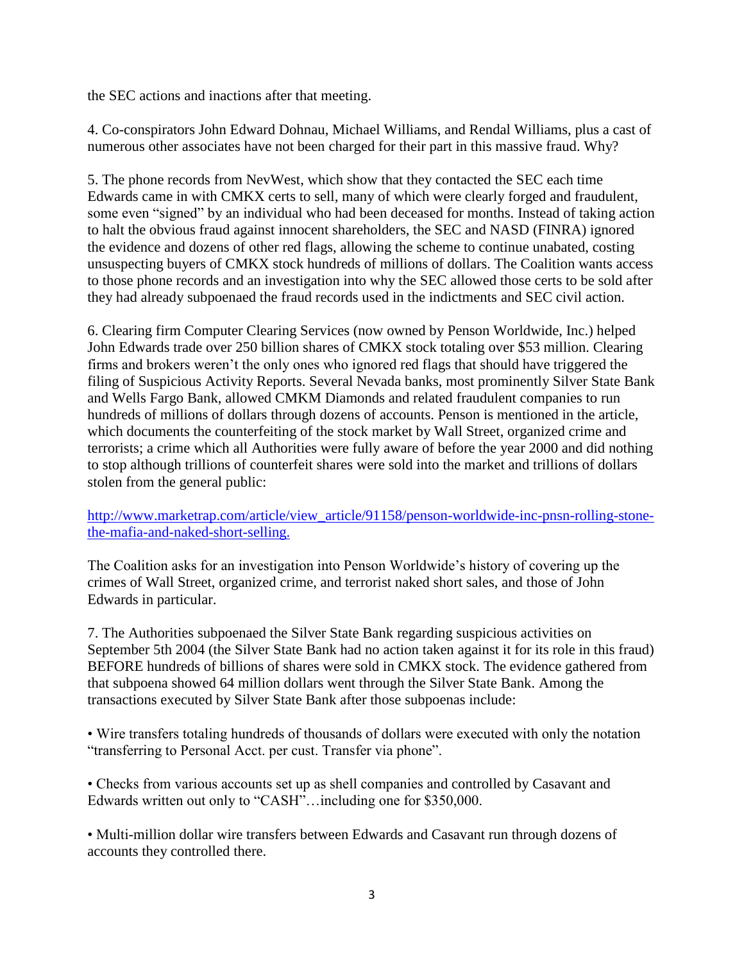the SEC actions and inactions after that meeting.

4. Co-conspirators John Edward Dohnau, Michael Williams, and Rendal Williams, plus a cast of numerous other associates have not been charged for their part in this massive fraud. Why?

5. The phone records from NevWest, which show that they contacted the SEC each time Edwards came in with CMKX certs to sell, many of which were clearly forged and fraudulent, some even "signed" by an individual who had been deceased for months. Instead of taking action to halt the obvious fraud against innocent shareholders, the SEC and NASD (FINRA) ignored the evidence and dozens of other red flags, allowing the scheme to continue unabated, costing unsuspecting buyers of CMKX stock hundreds of millions of dollars. The Coalition wants access to those phone records and an investigation into why the SEC allowed those certs to be sold after they had already subpoenaed the fraud records used in the indictments and SEC civil action.

6. Clearing firm Computer Clearing Services (now owned by Penson Worldwide, Inc.) helped John Edwards trade over 250 billion shares of CMKX stock totaling over \$53 million. Clearing firms and brokers weren't the only ones who ignored red flags that should have triggered the filing of Suspicious Activity Reports. Several Nevada banks, most prominently Silver State Bank and Wells Fargo Bank, allowed CMKM Diamonds and related fraudulent companies to run hundreds of millions of dollars through dozens of accounts. Penson is mentioned in the article, which documents the counterfeiting of the stock market by Wall Street, organized crime and terrorists; a crime which all Authorities were fully aware of before the year 2000 and did nothing to stop although trillions of counterfeit shares were sold into the market and trillions of dollars stolen from the general public:

[http://www.marketrap.com/article/view\\_article/91158/penson-worldwide-inc-pnsn-rolling-stone](http://www.marketrap.com/article/view_article/91158/penson-worldwide-inc-pnsn-rolling-stone-the-mafia-and-naked-short-selling.)[the-mafia-and-naked-short-selling.](http://www.marketrap.com/article/view_article/91158/penson-worldwide-inc-pnsn-rolling-stone-the-mafia-and-naked-short-selling.)

The Coalition asks for an investigation into Penson Worldwide's history of covering up the crimes of Wall Street, organized crime, and terrorist naked short sales, and those of John Edwards in particular.

7. The Authorities subpoenaed the Silver State Bank regarding suspicious activities on September 5th 2004 (the Silver State Bank had no action taken against it for its role in this fraud) BEFORE hundreds of billions of shares were sold in CMKX stock. The evidence gathered from that subpoena showed 64 million dollars went through the Silver State Bank. Among the transactions executed by Silver State Bank after those subpoenas include:

• Wire transfers totaling hundreds of thousands of dollars were executed with only the notation "transferring to Personal Acct. per cust. Transfer via phone".

• Checks from various accounts set up as shell companies and controlled by Casavant and Edwards written out only to "CASH"…including one for \$350,000.

• Multi-million dollar wire transfers between Edwards and Casavant run through dozens of accounts they controlled there.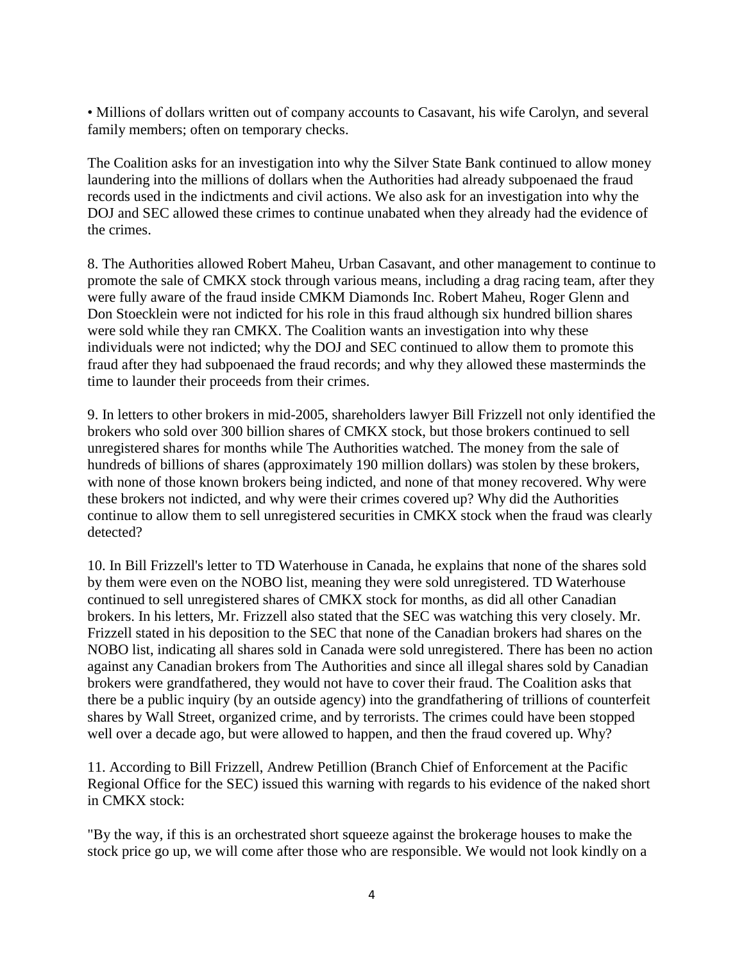• Millions of dollars written out of company accounts to Casavant, his wife Carolyn, and several family members; often on temporary checks.

The Coalition asks for an investigation into why the Silver State Bank continued to allow money laundering into the millions of dollars when the Authorities had already subpoenaed the fraud records used in the indictments and civil actions. We also ask for an investigation into why the DOJ and SEC allowed these crimes to continue unabated when they already had the evidence of the crimes.

8. The Authorities allowed Robert Maheu, Urban Casavant, and other management to continue to promote the sale of CMKX stock through various means, including a drag racing team, after they were fully aware of the fraud inside CMKM Diamonds Inc. Robert Maheu, Roger Glenn and Don Stoecklein were not indicted for his role in this fraud although six hundred billion shares were sold while they ran CMKX. The Coalition wants an investigation into why these individuals were not indicted; why the DOJ and SEC continued to allow them to promote this fraud after they had subpoenaed the fraud records; and why they allowed these masterminds the time to launder their proceeds from their crimes.

9. In letters to other brokers in mid-2005, shareholders lawyer Bill Frizzell not only identified the brokers who sold over 300 billion shares of CMKX stock, but those brokers continued to sell unregistered shares for months while The Authorities watched. The money from the sale of hundreds of billions of shares (approximately 190 million dollars) was stolen by these brokers, with none of those known brokers being indicted, and none of that money recovered. Why were these brokers not indicted, and why were their crimes covered up? Why did the Authorities continue to allow them to sell unregistered securities in CMKX stock when the fraud was clearly detected?

10. In Bill Frizzell's letter to TD Waterhouse in Canada, he explains that none of the shares sold by them were even on the NOBO list, meaning they were sold unregistered. TD Waterhouse continued to sell unregistered shares of CMKX stock for months, as did all other Canadian brokers. In his letters, Mr. Frizzell also stated that the SEC was watching this very closely. Mr. Frizzell stated in his deposition to the SEC that none of the Canadian brokers had shares on the NOBO list, indicating all shares sold in Canada were sold unregistered. There has been no action against any Canadian brokers from The Authorities and since all illegal shares sold by Canadian brokers were grandfathered, they would not have to cover their fraud. The Coalition asks that there be a public inquiry (by an outside agency) into the grandfathering of trillions of counterfeit shares by Wall Street, organized crime, and by terrorists. The crimes could have been stopped well over a decade ago, but were allowed to happen, and then the fraud covered up. Why?

11. According to Bill Frizzell, Andrew Petillion (Branch Chief of Enforcement at the Pacific Regional Office for the SEC) issued this warning with regards to his evidence of the naked short in CMKX stock:

"By the way, if this is an orchestrated short squeeze against the brokerage houses to make the stock price go up, we will come after those who are responsible. We would not look kindly on a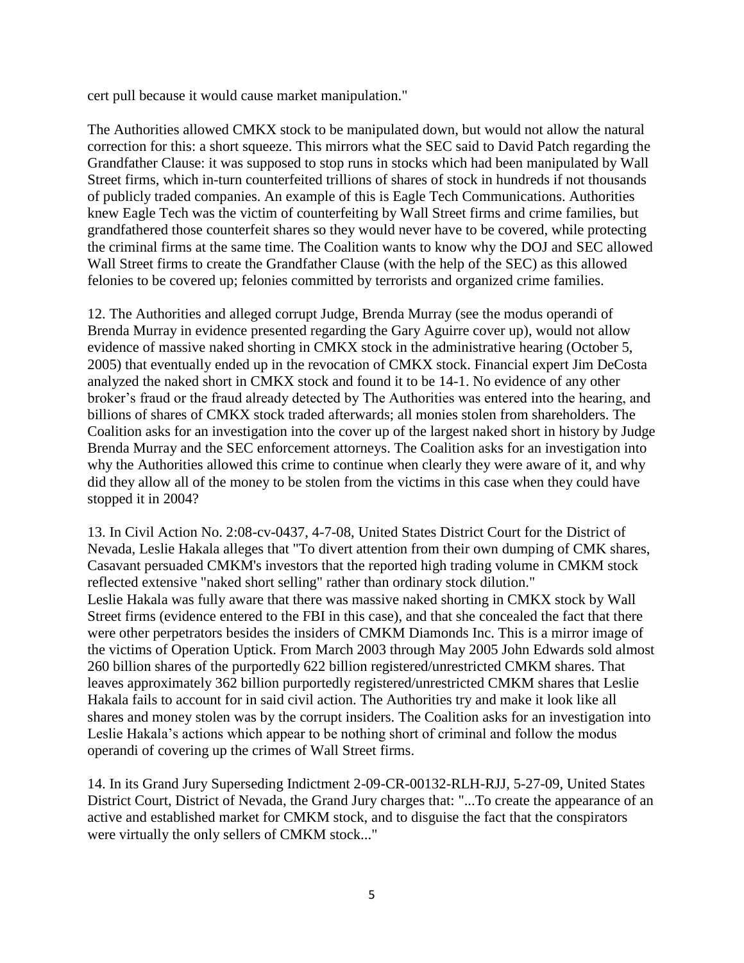cert pull because it would cause market manipulation."

The Authorities allowed CMKX stock to be manipulated down, but would not allow the natural correction for this: a short squeeze. This mirrors what the SEC said to David Patch regarding the Grandfather Clause: it was supposed to stop runs in stocks which had been manipulated by Wall Street firms, which in-turn counterfeited trillions of shares of stock in hundreds if not thousands of publicly traded companies. An example of this is Eagle Tech Communications. Authorities knew Eagle Tech was the victim of counterfeiting by Wall Street firms and crime families, but grandfathered those counterfeit shares so they would never have to be covered, while protecting the criminal firms at the same time. The Coalition wants to know why the DOJ and SEC allowed Wall Street firms to create the Grandfather Clause (with the help of the SEC) as this allowed felonies to be covered up; felonies committed by terrorists and organized crime families.

12. The Authorities and alleged corrupt Judge, Brenda Murray (see the modus operandi of Brenda Murray in evidence presented regarding the Gary Aguirre cover up), would not allow evidence of massive naked shorting in CMKX stock in the administrative hearing (October 5, 2005) that eventually ended up in the revocation of CMKX stock. Financial expert Jim DeCosta analyzed the naked short in CMKX stock and found it to be 14-1. No evidence of any other broker's fraud or the fraud already detected by The Authorities was entered into the hearing, and billions of shares of CMKX stock traded afterwards; all monies stolen from shareholders. The Coalition asks for an investigation into the cover up of the largest naked short in history by Judge Brenda Murray and the SEC enforcement attorneys. The Coalition asks for an investigation into why the Authorities allowed this crime to continue when clearly they were aware of it, and why did they allow all of the money to be stolen from the victims in this case when they could have stopped it in 2004?

13. In Civil Action No. 2:08-cv-0437, 4-7-08, United States District Court for the District of Nevada, Leslie Hakala alleges that "To divert attention from their own dumping of CMK shares, Casavant persuaded CMKM's investors that the reported high trading volume in CMKM stock reflected extensive "naked short selling" rather than ordinary stock dilution." Leslie Hakala was fully aware that there was massive naked shorting in CMKX stock by Wall Street firms (evidence entered to the FBI in this case), and that she concealed the fact that there were other perpetrators besides the insiders of CMKM Diamonds Inc. This is a mirror image of the victims of Operation Uptick. From March 2003 through May 2005 John Edwards sold almost 260 billion shares of the purportedly 622 billion registered/unrestricted CMKM shares. That leaves approximately 362 billion purportedly registered/unrestricted CMKM shares that Leslie Hakala fails to account for in said civil action. The Authorities try and make it look like all shares and money stolen was by the corrupt insiders. The Coalition asks for an investigation into Leslie Hakala's actions which appear to be nothing short of criminal and follow the modus operandi of covering up the crimes of Wall Street firms.

14. In its Grand Jury Superseding Indictment 2-09-CR-00132-RLH-RJJ, 5-27-09, United States District Court, District of Nevada, the Grand Jury charges that: "...To create the appearance of an active and established market for CMKM stock, and to disguise the fact that the conspirators were virtually the only sellers of CMKM stock..."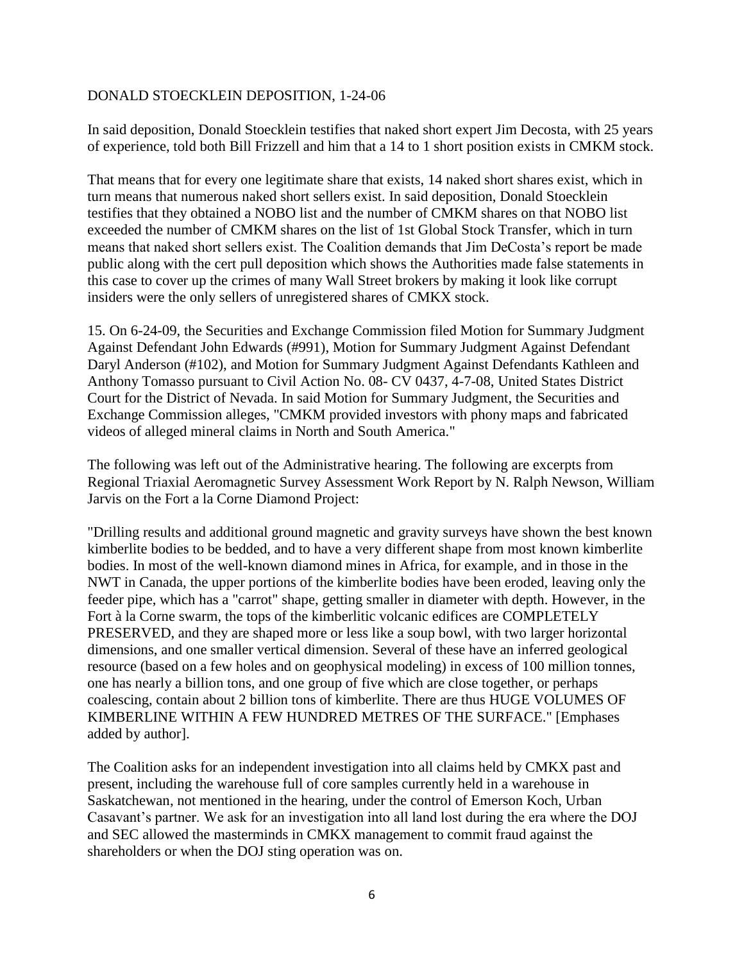## DONALD STOECKLEIN DEPOSITION, 1-24-06

In said deposition, Donald Stoecklein testifies that naked short expert Jim Decosta, with 25 years of experience, told both Bill Frizzell and him that a 14 to 1 short position exists in CMKM stock.

That means that for every one legitimate share that exists, 14 naked short shares exist, which in turn means that numerous naked short sellers exist. In said deposition, Donald Stoecklein testifies that they obtained a NOBO list and the number of CMKM shares on that NOBO list exceeded the number of CMKM shares on the list of 1st Global Stock Transfer, which in turn means that naked short sellers exist. The Coalition demands that Jim DeCosta's report be made public along with the cert pull deposition which shows the Authorities made false statements in this case to cover up the crimes of many Wall Street brokers by making it look like corrupt insiders were the only sellers of unregistered shares of CMKX stock.

15. On 6-24-09, the Securities and Exchange Commission filed Motion for Summary Judgment Against Defendant John Edwards (#991), Motion for Summary Judgment Against Defendant Daryl Anderson (#102), and Motion for Summary Judgment Against Defendants Kathleen and Anthony Tomasso pursuant to Civil Action No. 08- CV 0437, 4-7-08, United States District Court for the District of Nevada. In said Motion for Summary Judgment, the Securities and Exchange Commission alleges, "CMKM provided investors with phony maps and fabricated videos of alleged mineral claims in North and South America."

The following was left out of the Administrative hearing. The following are excerpts from Regional Triaxial Aeromagnetic Survey Assessment Work Report by N. Ralph Newson, William Jarvis on the Fort a la Corne Diamond Project:

"Drilling results and additional ground magnetic and gravity surveys have shown the best known kimberlite bodies to be bedded, and to have a very different shape from most known kimberlite bodies. In most of the well-known diamond mines in Africa, for example, and in those in the NWT in Canada, the upper portions of the kimberlite bodies have been eroded, leaving only the feeder pipe, which has a "carrot" shape, getting smaller in diameter with depth. However, in the Fort à la Corne swarm, the tops of the kimberlitic volcanic edifices are COMPLETELY PRESERVED, and they are shaped more or less like a soup bowl, with two larger horizontal dimensions, and one smaller vertical dimension. Several of these have an inferred geological resource (based on a few holes and on geophysical modeling) in excess of 100 million tonnes, one has nearly a billion tons, and one group of five which are close together, or perhaps coalescing, contain about 2 billion tons of kimberlite. There are thus HUGE VOLUMES OF KIMBERLINE WITHIN A FEW HUNDRED METRES OF THE SURFACE." [Emphases added by author].

The Coalition asks for an independent investigation into all claims held by CMKX past and present, including the warehouse full of core samples currently held in a warehouse in Saskatchewan, not mentioned in the hearing, under the control of Emerson Koch, Urban Casavant's partner. We ask for an investigation into all land lost during the era where the DOJ and SEC allowed the masterminds in CMKX management to commit fraud against the shareholders or when the DOJ sting operation was on.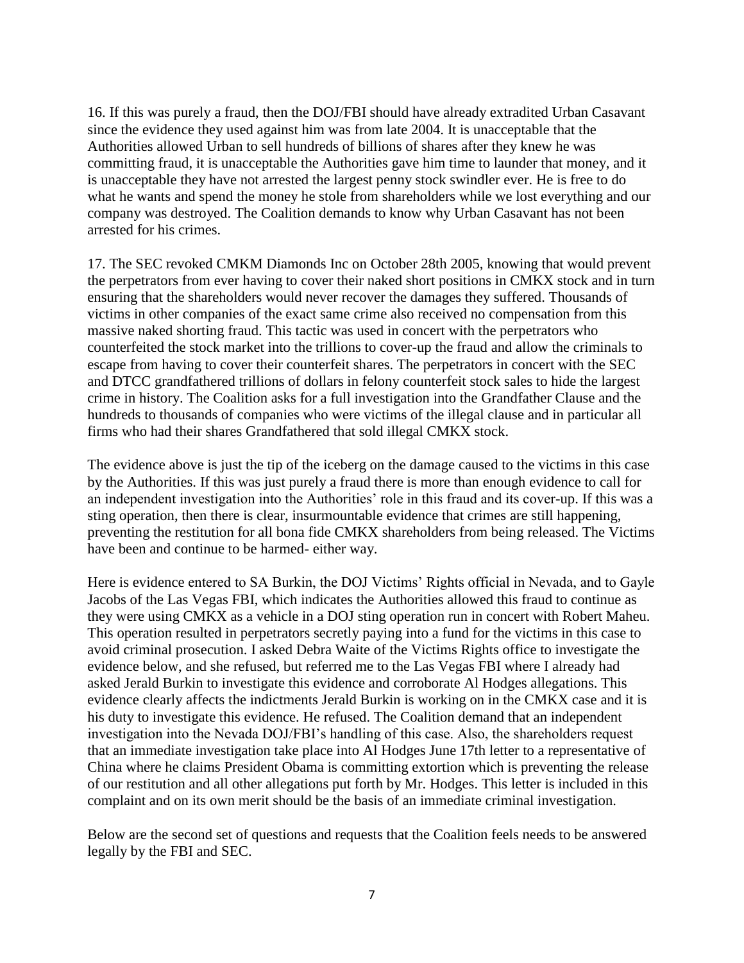16. If this was purely a fraud, then the DOJ/FBI should have already extradited Urban Casavant since the evidence they used against him was from late 2004. It is unacceptable that the Authorities allowed Urban to sell hundreds of billions of shares after they knew he was committing fraud, it is unacceptable the Authorities gave him time to launder that money, and it is unacceptable they have not arrested the largest penny stock swindler ever. He is free to do what he wants and spend the money he stole from shareholders while we lost everything and our company was destroyed. The Coalition demands to know why Urban Casavant has not been arrested for his crimes.

17. The SEC revoked CMKM Diamonds Inc on October 28th 2005, knowing that would prevent the perpetrators from ever having to cover their naked short positions in CMKX stock and in turn ensuring that the shareholders would never recover the damages they suffered. Thousands of victims in other companies of the exact same crime also received no compensation from this massive naked shorting fraud. This tactic was used in concert with the perpetrators who counterfeited the stock market into the trillions to cover-up the fraud and allow the criminals to escape from having to cover their counterfeit shares. The perpetrators in concert with the SEC and DTCC grandfathered trillions of dollars in felony counterfeit stock sales to hide the largest crime in history. The Coalition asks for a full investigation into the Grandfather Clause and the hundreds to thousands of companies who were victims of the illegal clause and in particular all firms who had their shares Grandfathered that sold illegal CMKX stock.

The evidence above is just the tip of the iceberg on the damage caused to the victims in this case by the Authorities. If this was just purely a fraud there is more than enough evidence to call for an independent investigation into the Authorities' role in this fraud and its cover-up. If this was a sting operation, then there is clear, insurmountable evidence that crimes are still happening, preventing the restitution for all bona fide CMKX shareholders from being released. The Victims have been and continue to be harmed- either way.

Here is evidence entered to SA Burkin, the DOJ Victims' Rights official in Nevada, and to Gayle Jacobs of the Las Vegas FBI, which indicates the Authorities allowed this fraud to continue as they were using CMKX as a vehicle in a DOJ sting operation run in concert with Robert Maheu. This operation resulted in perpetrators secretly paying into a fund for the victims in this case to avoid criminal prosecution. I asked Debra Waite of the Victims Rights office to investigate the evidence below, and she refused, but referred me to the Las Vegas FBI where I already had asked Jerald Burkin to investigate this evidence and corroborate Al Hodges allegations. This evidence clearly affects the indictments Jerald Burkin is working on in the CMKX case and it is his duty to investigate this evidence. He refused. The Coalition demand that an independent investigation into the Nevada DOJ/FBI's handling of this case. Also, the shareholders request that an immediate investigation take place into Al Hodges June 17th letter to a representative of China where he claims President Obama is committing extortion which is preventing the release of our restitution and all other allegations put forth by Mr. Hodges. This letter is included in this complaint and on its own merit should be the basis of an immediate criminal investigation.

Below are the second set of questions and requests that the Coalition feels needs to be answered legally by the FBI and SEC.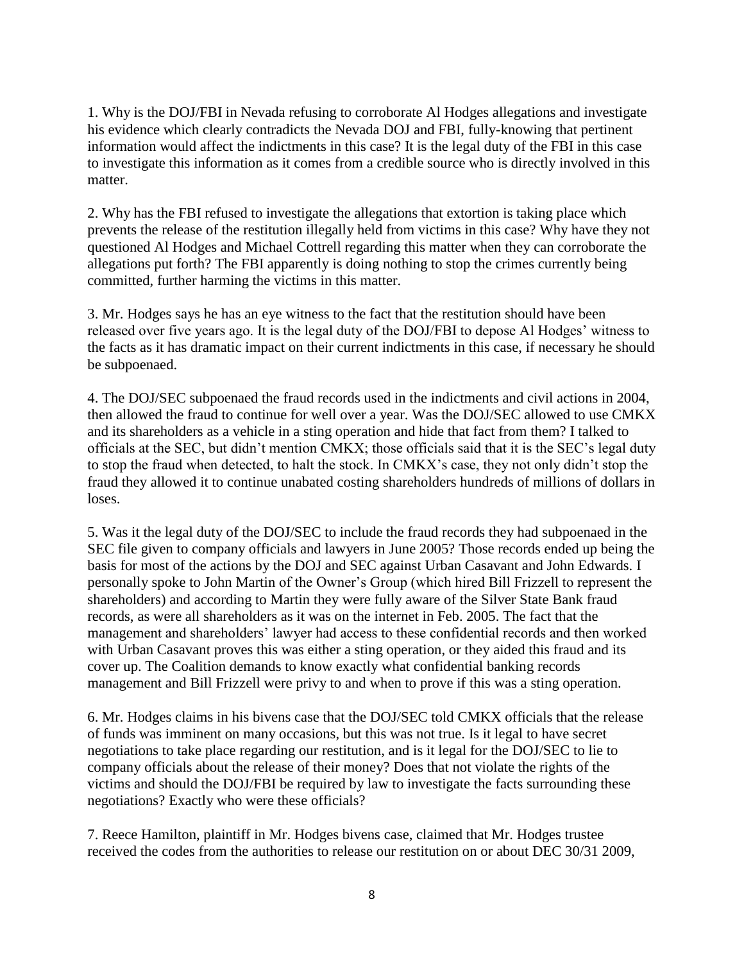1. Why is the DOJ/FBI in Nevada refusing to corroborate Al Hodges allegations and investigate his evidence which clearly contradicts the Nevada DOJ and FBI, fully-knowing that pertinent information would affect the indictments in this case? It is the legal duty of the FBI in this case to investigate this information as it comes from a credible source who is directly involved in this matter.

2. Why has the FBI refused to investigate the allegations that extortion is taking place which prevents the release of the restitution illegally held from victims in this case? Why have they not questioned Al Hodges and Michael Cottrell regarding this matter when they can corroborate the allegations put forth? The FBI apparently is doing nothing to stop the crimes currently being committed, further harming the victims in this matter.

3. Mr. Hodges says he has an eye witness to the fact that the restitution should have been released over five years ago. It is the legal duty of the DOJ/FBI to depose Al Hodges' witness to the facts as it has dramatic impact on their current indictments in this case, if necessary he should be subpoenaed.

4. The DOJ/SEC subpoenaed the fraud records used in the indictments and civil actions in 2004, then allowed the fraud to continue for well over a year. Was the DOJ/SEC allowed to use CMKX and its shareholders as a vehicle in a sting operation and hide that fact from them? I talked to officials at the SEC, but didn't mention CMKX; those officials said that it is the SEC's legal duty to stop the fraud when detected, to halt the stock. In CMKX's case, they not only didn't stop the fraud they allowed it to continue unabated costing shareholders hundreds of millions of dollars in loses.

5. Was it the legal duty of the DOJ/SEC to include the fraud records they had subpoenaed in the SEC file given to company officials and lawyers in June 2005? Those records ended up being the basis for most of the actions by the DOJ and SEC against Urban Casavant and John Edwards. I personally spoke to John Martin of the Owner's Group (which hired Bill Frizzell to represent the shareholders) and according to Martin they were fully aware of the Silver State Bank fraud records, as were all shareholders as it was on the internet in Feb. 2005. The fact that the management and shareholders' lawyer had access to these confidential records and then worked with Urban Casavant proves this was either a sting operation, or they aided this fraud and its cover up. The Coalition demands to know exactly what confidential banking records management and Bill Frizzell were privy to and when to prove if this was a sting operation.

6. Mr. Hodges claims in his bivens case that the DOJ/SEC told CMKX officials that the release of funds was imminent on many occasions, but this was not true. Is it legal to have secret negotiations to take place regarding our restitution, and is it legal for the DOJ/SEC to lie to company officials about the release of their money? Does that not violate the rights of the victims and should the DOJ/FBI be required by law to investigate the facts surrounding these negotiations? Exactly who were these officials?

7. Reece Hamilton, plaintiff in Mr. Hodges bivens case, claimed that Mr. Hodges trustee received the codes from the authorities to release our restitution on or about DEC 30/31 2009,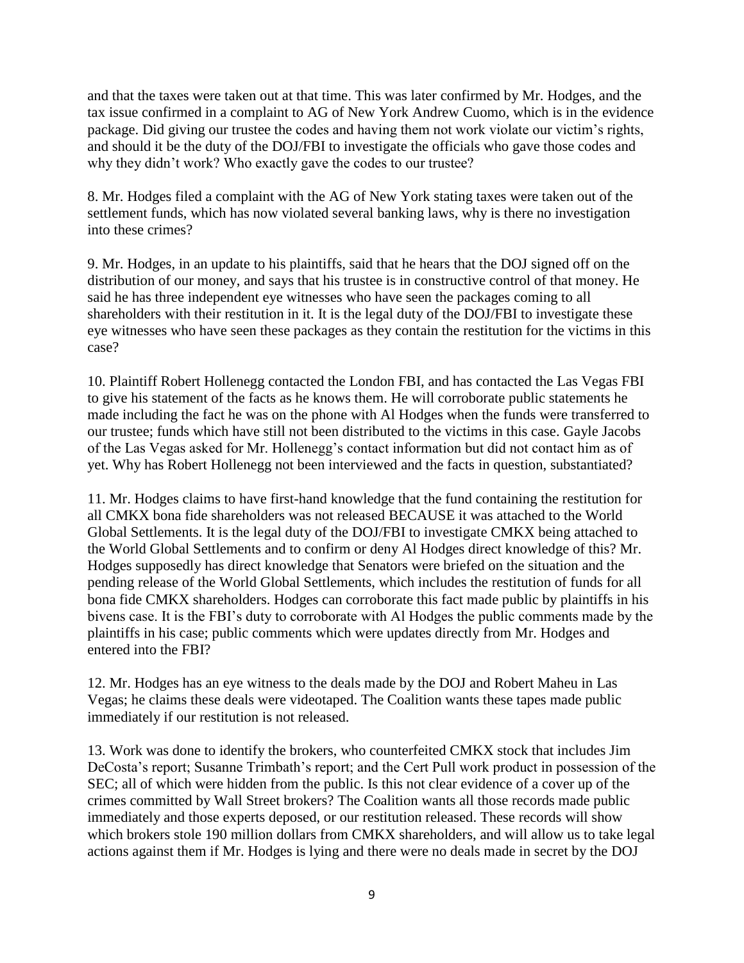and that the taxes were taken out at that time. This was later confirmed by Mr. Hodges, and the tax issue confirmed in a complaint to AG of New York Andrew Cuomo, which is in the evidence package. Did giving our trustee the codes and having them not work violate our victim's rights, and should it be the duty of the DOJ/FBI to investigate the officials who gave those codes and why they didn't work? Who exactly gave the codes to our trustee?

8. Mr. Hodges filed a complaint with the AG of New York stating taxes were taken out of the settlement funds, which has now violated several banking laws, why is there no investigation into these crimes?

9. Mr. Hodges, in an update to his plaintiffs, said that he hears that the DOJ signed off on the distribution of our money, and says that his trustee is in constructive control of that money. He said he has three independent eye witnesses who have seen the packages coming to all shareholders with their restitution in it. It is the legal duty of the DOJ/FBI to investigate these eye witnesses who have seen these packages as they contain the restitution for the victims in this case?

10. Plaintiff Robert Hollenegg contacted the London FBI, and has contacted the Las Vegas FBI to give his statement of the facts as he knows them. He will corroborate public statements he made including the fact he was on the phone with Al Hodges when the funds were transferred to our trustee; funds which have still not been distributed to the victims in this case. Gayle Jacobs of the Las Vegas asked for Mr. Hollenegg's contact information but did not contact him as of yet. Why has Robert Hollenegg not been interviewed and the facts in question, substantiated?

11. Mr. Hodges claims to have first-hand knowledge that the fund containing the restitution for all CMKX bona fide shareholders was not released BECAUSE it was attached to the World Global Settlements. It is the legal duty of the DOJ/FBI to investigate CMKX being attached to the World Global Settlements and to confirm or deny Al Hodges direct knowledge of this? Mr. Hodges supposedly has direct knowledge that Senators were briefed on the situation and the pending release of the World Global Settlements, which includes the restitution of funds for all bona fide CMKX shareholders. Hodges can corroborate this fact made public by plaintiffs in his bivens case. It is the FBI's duty to corroborate with Al Hodges the public comments made by the plaintiffs in his case; public comments which were updates directly from Mr. Hodges and entered into the FBI?

12. Mr. Hodges has an eye witness to the deals made by the DOJ and Robert Maheu in Las Vegas; he claims these deals were videotaped. The Coalition wants these tapes made public immediately if our restitution is not released.

13. Work was done to identify the brokers, who counterfeited CMKX stock that includes Jim DeCosta's report; Susanne Trimbath's report; and the Cert Pull work product in possession of the SEC; all of which were hidden from the public. Is this not clear evidence of a cover up of the crimes committed by Wall Street brokers? The Coalition wants all those records made public immediately and those experts deposed, or our restitution released. These records will show which brokers stole 190 million dollars from CMKX shareholders, and will allow us to take legal actions against them if Mr. Hodges is lying and there were no deals made in secret by the DOJ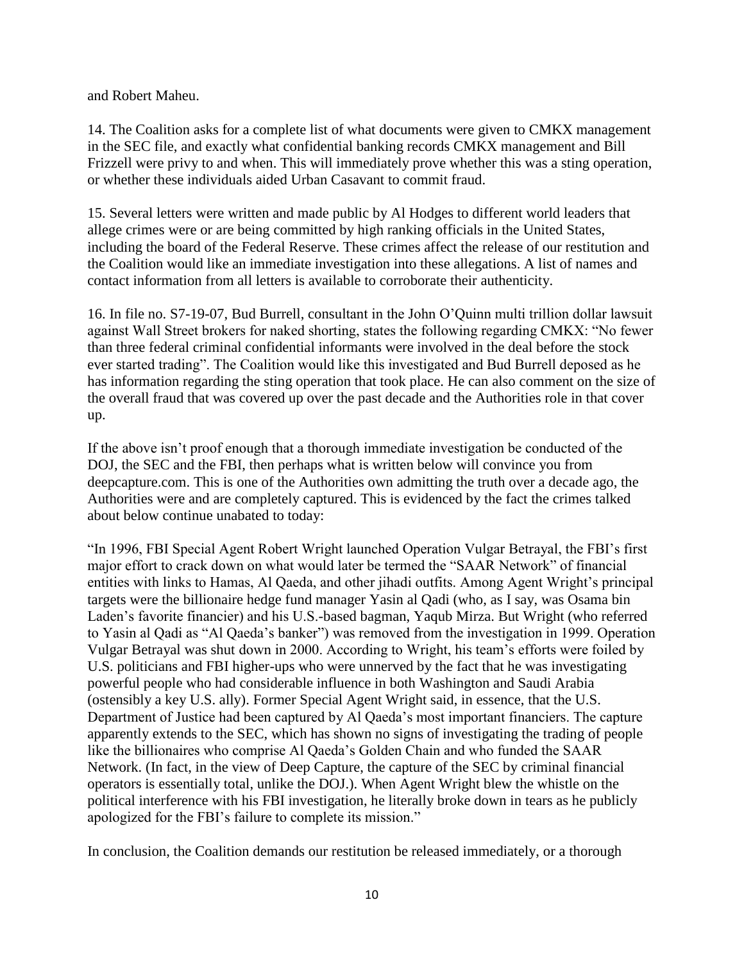and Robert Maheu.

14. The Coalition asks for a complete list of what documents were given to CMKX management in the SEC file, and exactly what confidential banking records CMKX management and Bill Frizzell were privy to and when. This will immediately prove whether this was a sting operation, or whether these individuals aided Urban Casavant to commit fraud.

15. Several letters were written and made public by Al Hodges to different world leaders that allege crimes were or are being committed by high ranking officials in the United States, including the board of the Federal Reserve. These crimes affect the release of our restitution and the Coalition would like an immediate investigation into these allegations. A list of names and contact information from all letters is available to corroborate their authenticity.

16. In file no. S7-19-07, Bud Burrell, consultant in the John O'Quinn multi trillion dollar lawsuit against Wall Street brokers for naked shorting, states the following regarding CMKX: "No fewer than three federal criminal confidential informants were involved in the deal before the stock ever started trading". The Coalition would like this investigated and Bud Burrell deposed as he has information regarding the sting operation that took place. He can also comment on the size of the overall fraud that was covered up over the past decade and the Authorities role in that cover up.

If the above isn't proof enough that a thorough immediate investigation be conducted of the DOJ, the SEC and the FBI, then perhaps what is written below will convince you from deepcapture.com. This is one of the Authorities own admitting the truth over a decade ago, the Authorities were and are completely captured. This is evidenced by the fact the crimes talked about below continue unabated to today:

"In 1996, FBI Special Agent Robert Wright launched Operation Vulgar Betrayal, the FBI's first major effort to crack down on what would later be termed the "SAAR Network" of financial entities with links to Hamas, Al Qaeda, and other jihadi outfits. Among Agent Wright's principal targets were the billionaire hedge fund manager Yasin al Qadi (who, as I say, was Osama bin Laden's favorite financier) and his U.S.-based bagman, Yaqub Mirza. But Wright (who referred to Yasin al Qadi as "Al Qaeda's banker") was removed from the investigation in 1999. Operation Vulgar Betrayal was shut down in 2000. According to Wright, his team's efforts were foiled by U.S. politicians and FBI higher-ups who were unnerved by the fact that he was investigating powerful people who had considerable influence in both Washington and Saudi Arabia (ostensibly a key U.S. ally). Former Special Agent Wright said, in essence, that the U.S. Department of Justice had been captured by Al Qaeda's most important financiers. The capture apparently extends to the SEC, which has shown no signs of investigating the trading of people like the billionaires who comprise Al Qaeda's Golden Chain and who funded the SAAR Network. (In fact, in the view of Deep Capture, the capture of the SEC by criminal financial operators is essentially total, unlike the DOJ.). When Agent Wright blew the whistle on the political interference with his FBI investigation, he literally broke down in tears as he publicly apologized for the FBI's failure to complete its mission."

In conclusion, the Coalition demands our restitution be released immediately, or a thorough